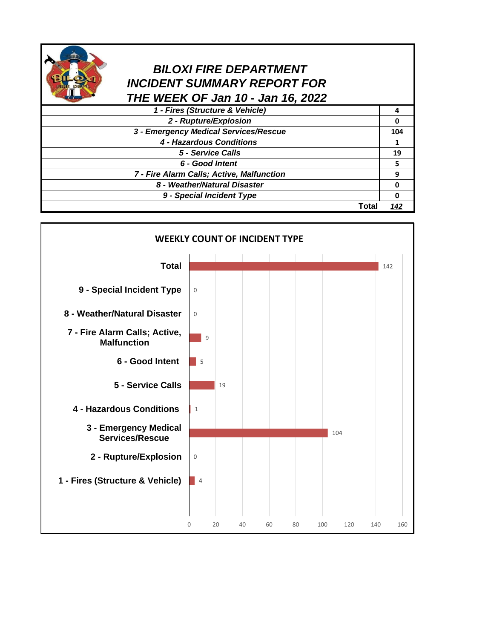

## *BILOXI FIRE DEPARTMENT INCIDENT SUMMARY REPORT FOR THE WEEK OF Jan 10 - Jan 16, 2022*

| 1 - Fires (Structure & Vehicle)           |       |     |
|-------------------------------------------|-------|-----|
| 2 - Rupture/Explosion                     |       |     |
| 3 - Emergency Medical Services/Rescue     |       | 104 |
| 4 - Hazardous Conditions                  |       |     |
| 5 - Service Calls                         |       | 19  |
| 6 - Good Intent                           |       |     |
| 7 - Fire Alarm Calls; Active, Malfunction |       | q   |
| 8 - Weather/Natural Disaster              |       |     |
| 9 - Special Incident Type                 |       |     |
|                                           | Total |     |

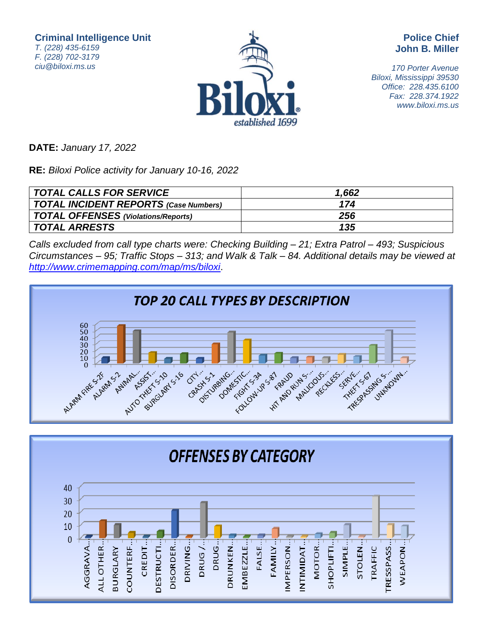**Criminal Intelligence Unit** T. (228) 435-6159 F. (228) 702-3179 ciu@biloxi.ms.us



**Police Chief John B. Miller**

170 Porter Avenue Biloxi, Mississippi 39530 Office: 228.435.6100 Fax: 228.374.1922 www.biloxi.ms.us

**DATE:** January 17, 2022

**RE:** Biloxi Police activity for January 10-16, 2022

| TOTAL CALLS FOR SERVICE               | 1,662 |
|---------------------------------------|-------|
| TOTAL INCIDENT REPORTS (Case Numbers) | 174   |
| TOTAL OFFENSES (Violations/Reports)   | 256   |
| TOTAL ARRESTS                         | 135   |

Calls excluded from call type charts were: Checking Building – 21; Extra Patrol – 493; Suspicious Circumstances – 95; Traffic Stops – 313; and Walk & Talk – 84. Additional details may be viewed at <http://www.crimemapping.com/map/ms/biloxi>.